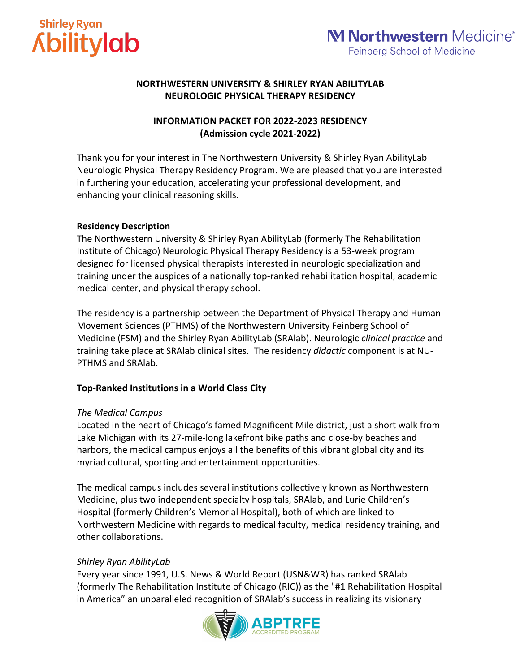

# **Shirley Ryan Kbilitylab**

## **NORTHWESTERN UNIVERSITY & SHIRLEY RYAN ABILITYLAB NEUROLOGIC PHYSICAL THERAPY RESIDENCY**

## **INFORMATION PACKET FOR 2022-2023 RESIDENCY (Admission cycle 2021-2022)**

Thank you for your interest in The Northwestern University & Shirley Ryan AbilityLab Neurologic Physical Therapy Residency Program. We are pleased that you are interested in furthering your education, accelerating your professional development, and enhancing your clinical reasoning skills.

## **Residency Description**

The Northwestern University & Shirley Ryan AbilityLab (formerly The Rehabilitation Institute of Chicago) Neurologic Physical Therapy Residency is a 53-week program designed for licensed physical therapists interested in neurologic specialization and training under the auspices of a nationally top-ranked rehabilitation hospital, academic medical center, and physical therapy school.

The residency is a partnership between the Department of Physical Therapy and Human Movement Sciences (PTHMS) of the Northwestern University Feinberg School of Medicine (FSM) and the Shirley Ryan AbilityLab (SRAlab). Neurologic *clinical practice* and training take place at SRAlab clinical sites. The residency *didactic* component is at NU-PTHMS and SRAlab.

## **Top-Ranked Institutions in a World Class City**

## *The Medical Campus*

Located in the heart of Chicago's famed Magnificent Mile district, just a short walk from Lake Michigan with its 27-mile-long lakefront bike paths and close-by beaches and harbors, the medical campus enjoys all the benefits of this vibrant global city and its myriad cultural, sporting and entertainment opportunities.

The medical campus includes several institutions collectively known as Northwestern Medicine, plus two independent specialty hospitals, SRAlab, and Lurie Children's Hospital (formerly Children's Memorial Hospital), both of which are linked to Northwestern Medicine with regards to medical faculty, medical residency training, and other collaborations.

## *Shirley Ryan AbilityLab*

Every year since 1991, U.S. News & World Report (USN&WR) has ranked SRAlab (formerly The Rehabilitation Institute of Chicago (RIC)) as the "#1 Rehabilitation Hospital in America" an unparalleled recognition of SRAlab's success in realizing its visionary

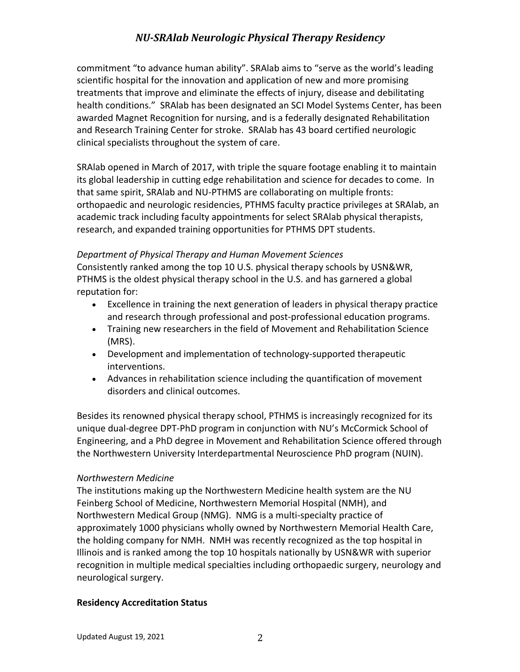commitment "to advance human ability". SRAlab aims to "serve as the world's leading scientific hospital for the innovation and application of new and more promising treatments that improve and eliminate the effects of injury, disease and debilitating health conditions." SRAlab has been designated an SCI Model Systems Center, has been awarded Magnet Recognition for nursing, and is a federally designated Rehabilitation and Research Training Center for stroke. SRAlab has 43 board certified neurologic clinical specialists throughout the system of care.

SRAlab opened in March of 2017, with triple the square footage enabling it to maintain its global leadership in cutting edge rehabilitation and science for decades to come. In that same spirit, SRAlab and NU-PTHMS are collaborating on multiple fronts: orthopaedic and neurologic residencies, PTHMS faculty practice privileges at SRAlab, an academic track including faculty appointments for select SRAlab physical therapists, research, and expanded training opportunities for PTHMS DPT students.

#### *Department of Physical Therapy and Human Movement Sciences*

Consistently ranked among the top 10 U.S. physical therapy schools by USN&WR, PTHMS is the oldest physical therapy school in the U.S. and has garnered a global reputation for:

- Excellence in training the next generation of leaders in physical therapy practice and research through professional and post-professional education programs.
- Training new researchers in the field of Movement and Rehabilitation Science (MRS).
- Development and implementation of technology-supported therapeutic interventions.
- Advances in rehabilitation science including the quantification of movement disorders and clinical outcomes.

Besides its renowned physical therapy school, PTHMS is increasingly recognized for its unique dual-degree DPT-PhD program in conjunction with NU's McCormick School of Engineering, and a PhD degree in Movement and Rehabilitation Science offered through the Northwestern University Interdepartmental Neuroscience PhD program (NUIN).

#### *Northwestern Medicine*

The institutions making up the Northwestern Medicine health system are the NU Feinberg School of Medicine, Northwestern Memorial Hospital (NMH), and Northwestern Medical Group (NMG). NMG is a multi-specialty practice of approximately 1000 physicians wholly owned by Northwestern Memorial Health Care, the holding company for NMH. NMH was recently recognized as the top hospital in Illinois and is ranked among the top 10 hospitals nationally by USN&WR with superior recognition in multiple medical specialties including orthopaedic surgery, neurology and neurological surgery.

#### **Residency Accreditation Status**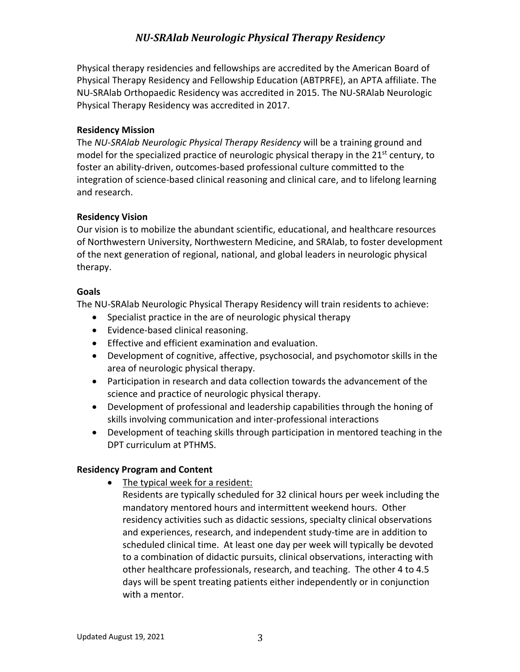Physical therapy residencies and fellowships are accredited by the American Board of Physical Therapy Residency and Fellowship Education (ABTPRFE), an APTA affiliate. The NU-SRAlab Orthopaedic Residency was accredited in 2015. The NU-SRAlab Neurologic Physical Therapy Residency was accredited in 2017.

#### **Residency Mission**

The *NU-SRAlab Neurologic Physical Therapy Residency* will be a training ground and model for the specialized practice of neurologic physical therapy in the 21<sup>st</sup> century, to foster an ability-driven, outcomes-based professional culture committed to the integration of science-based clinical reasoning and clinical care, and to lifelong learning and research.

#### **Residency Vision**

Our vision is to mobilize the abundant scientific, educational, and healthcare resources of Northwestern University, Northwestern Medicine, and SRAlab, to foster development of the next generation of regional, national, and global leaders in neurologic physical therapy.

#### **Goals**

The NU-SRAlab Neurologic Physical Therapy Residency will train residents to achieve:

- Specialist practice in the are of neurologic physical therapy
- Evidence-based clinical reasoning.
- Effective and efficient examination and evaluation.
- Development of cognitive, affective, psychosocial, and psychomotor skills in the area of neurologic physical therapy.
- Participation in research and data collection towards the advancement of the science and practice of neurologic physical therapy.
- Development of professional and leadership capabilities through the honing of skills involving communication and inter-professional interactions
- Development of teaching skills through participation in mentored teaching in the DPT curriculum at PTHMS.

#### **Residency Program and Content**

- The typical week for a resident:
	- Residents are typically scheduled for 32 clinical hours per week including the mandatory mentored hours and intermittent weekend hours. Other residency activities such as didactic sessions, specialty clinical observations and experiences, research, and independent study-time are in addition to scheduled clinical time. At least one day per week will typically be devoted to a combination of didactic pursuits, clinical observations, interacting with other healthcare professionals, research, and teaching. The other 4 to 4.5 days will be spent treating patients either independently or in conjunction with a mentor.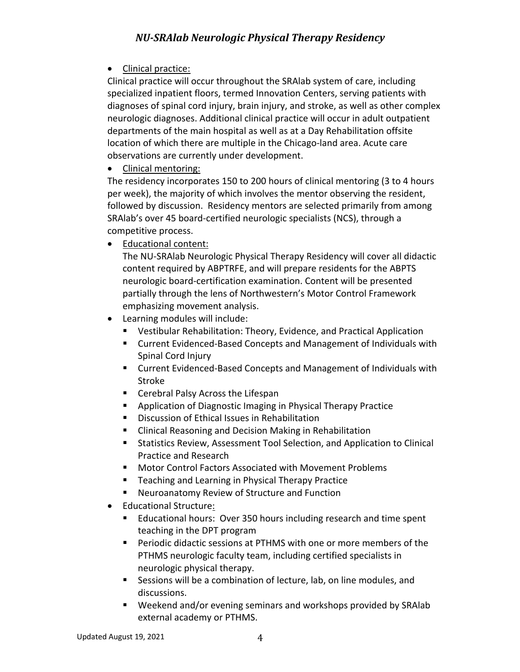• Clinical practice:

Clinical practice will occur throughout the SRAlab system of care, including specialized inpatient floors, termed Innovation Centers, serving patients with diagnoses of spinal cord injury, brain injury, and stroke, as well as other complex neurologic diagnoses. Additional clinical practice will occur in adult outpatient departments of the main hospital as well as at a Day Rehabilitation offsite location of which there are multiple in the Chicago-land area. Acute care observations are currently under development.

• Clinical mentoring:

The residency incorporates 150 to 200 hours of clinical mentoring (3 to 4 hours per week), the majority of which involves the mentor observing the resident, followed by discussion. Residency mentors are selected primarily from among SRAlab's over 45 board-certified neurologic specialists (NCS), through a competitive process.

• Educational content:

The NU-SRAlab Neurologic Physical Therapy Residency will cover all didactic content required by ABPTRFE, and will prepare residents for the ABPTS neurologic board-certification examination. Content will be presented partially through the lens of Northwestern's Motor Control Framework emphasizing movement analysis.

- Learning modules will include:
	- Vestibular Rehabilitation: Theory, Evidence, and Practical Application
	- Current Evidenced-Based Concepts and Management of Individuals with Spinal Cord Injury
	- Current Evidenced-Based Concepts and Management of Individuals with Stroke
	- Cerebral Palsy Across the Lifespan
	- Application of Diagnostic Imaging in Physical Therapy Practice
	- Discussion of Ethical Issues in Rehabilitation
	- Clinical Reasoning and Decision Making in Rehabilitation
	- Statistics Review, Assessment Tool Selection, and Application to Clinical Practice and Research
	- Motor Control Factors Associated with Movement Problems
	- Teaching and Learning in Physical Therapy Practice
	- Neuroanatomy Review of Structure and Function
- Educational Structure:
	- Educational hours: Over 350 hours including research and time spent teaching in the DPT program
	- § Periodic didactic sessions at PTHMS with one or more members of the PTHMS neurologic faculty team, including certified specialists in neurologic physical therapy.
	- Sessions will be a combination of lecture, lab, on line modules, and discussions.
	- Weekend and/or evening seminars and workshops provided by SRAlab external academy or PTHMS.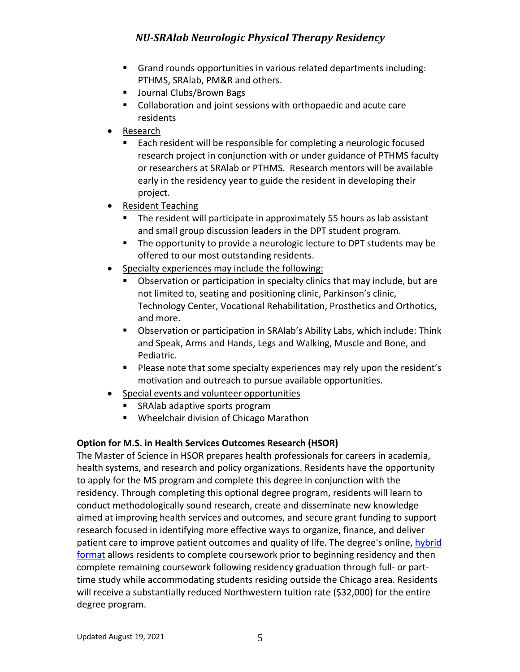- § Grand rounds opportunities in various related departments including: PTHMS, SRAlab, PM&R and others.
- Journal Clubs/Brown Bags
- Collaboration and joint sessions with orthopaedic and acute care residents
- Research
	- Each resident will be responsible for completing a neurologic focused research project in conjunction with or under guidance of PTHMS faculty or researchers at SRAlab or PTHMS. Research mentors will be available early in the residency year to guide the resident in developing their project.
- Resident Teaching
	- The resident will participate in approximately 55 hours as lab assistant and small group discussion leaders in the DPT student program.
	- The opportunity to provide a neurologic lecture to DPT students may be offered to our most outstanding residents.
- Specialty experiences may include the following:
	- § Observation or participation in specialty clinics that may include, but are not limited to, seating and positioning clinic, Parkinson's clinic, Technology Center, Vocational Rehabilitation, Prosthetics and Orthotics, and more.
	- § Observation or participation in SRAlab's Ability Labs, which include: Think and Speak, Arms and Hands, Legs and Walking, Muscle and Bone, and Pediatric.
	- § Please note that some specialty experiences may rely upon the resident's motivation and outreach to pursue available opportunities.
- Special events and volunteer opportunities
	- § SRAlab adaptive sports program
	- Wheelchair division of Chicago Marathon

## **Option for M.S. in Health Services Outcomes Research (HSOR)**

The Master of Science in HSOR prepares health professionals for careers in academia, health systems, and research and policy organizations. Residents have the opportunity to apply for the MS program and complete this degree in conjunction with the residency. Through completing this optional degree program, residents will learn to conduct methodologically sound research, create and disseminate new knowledge aimed at improving health services and outcomes, and secure grant funding to support research focused in identifying more effective ways to organize, finance, and deliver patient care to improve patient outcomes and quality of life. The degree's online, hybrid format allows residents to complete coursework prior to beginning residency and then complete remaining coursework following residency graduation through full- or parttime study while accommodating students residing outside the Chicago area. Residents will receive a substantially reduced Northwestern tuition rate (\$32,000) for the entire degree program.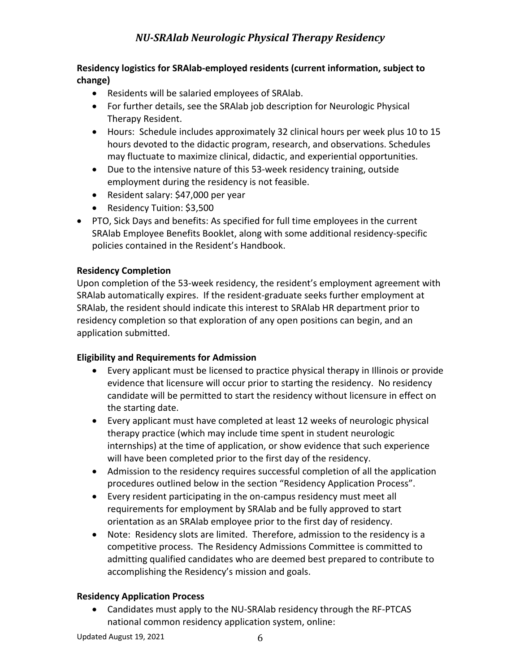## **Residency logistics for SRAlab-employed residents (current information, subject to change)**

- Residents will be salaried employees of SRAlab.
- For further details, see the SRAlab job description for Neurologic Physical Therapy Resident.
- Hours: Schedule includes approximately 32 clinical hours per week plus 10 to 15 hours devoted to the didactic program, research, and observations. Schedules may fluctuate to maximize clinical, didactic, and experiential opportunities.
- Due to the intensive nature of this 53-week residency training, outside employment during the residency is not feasible.
- Resident salary: \$47,000 per year
- Residency Tuition: \$3,500
- PTO, Sick Days and benefits: As specified for full time employees in the current SRAlab Employee Benefits Booklet, along with some additional residency-specific policies contained in the Resident's Handbook.

## **Residency Completion**

Upon completion of the 53-week residency, the resident's employment agreement with SRAlab automatically expires. If the resident-graduate seeks further employment at SRAlab, the resident should indicate this interest to SRAlab HR department prior to residency completion so that exploration of any open positions can begin, and an application submitted.

## **Eligibility and Requirements for Admission**

- Every applicant must be licensed to practice physical therapy in Illinois or provide evidence that licensure will occur prior to starting the residency. No residency candidate will be permitted to start the residency without licensure in effect on the starting date.
- Every applicant must have completed at least 12 weeks of neurologic physical therapy practice (which may include time spent in student neurologic internships) at the time of application, or show evidence that such experience will have been completed prior to the first day of the residency.
- Admission to the residency requires successful completion of all the application procedures outlined below in the section "Residency Application Process".
- Every resident participating in the on-campus residency must meet all requirements for employment by SRAlab and be fully approved to start orientation as an SRAlab employee prior to the first day of residency.
- Note: Residency slots are limited. Therefore, admission to the residency is a competitive process. The Residency Admissions Committee is committed to admitting qualified candidates who are deemed best prepared to contribute to accomplishing the Residency's mission and goals.

## **Residency Application Process**

• Candidates must apply to the NU-SRAlab residency through the RF-PTCAS national common residency application system, online: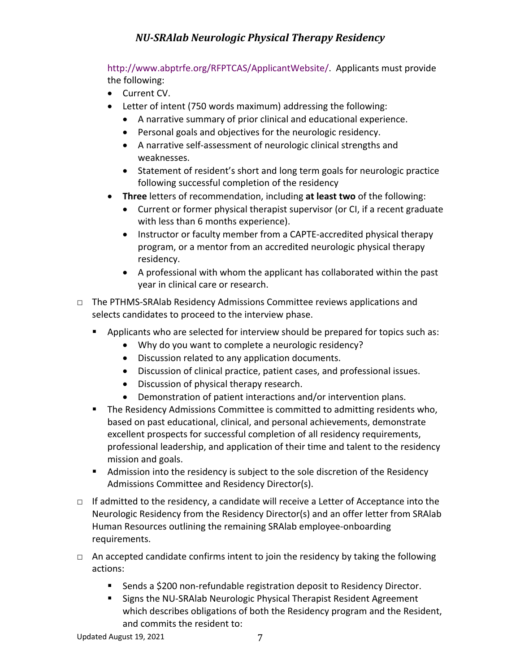http://www.abptrfe.org/RFPTCAS/ApplicantWebsite/. Applicants must provide the following:

- Current CV.
- Letter of intent (750 words maximum) addressing the following:
	- A narrative summary of prior clinical and educational experience.
	- Personal goals and objectives for the neurologic residency.
	- A narrative self-assessment of neurologic clinical strengths and weaknesses.
	- Statement of resident's short and long term goals for neurologic practice following successful completion of the residency
- **Three** letters of recommendation, including **at least two** of the following:
	- Current or former physical therapist supervisor (or CI, if a recent graduate with less than 6 months experience).
	- Instructor or faculty member from a CAPTE-accredited physical therapy program, or a mentor from an accredited neurologic physical therapy residency.
	- A professional with whom the applicant has collaborated within the past year in clinical care or research.
- □ The PTHMS-SRAlab Residency Admissions Committee reviews applications and selects candidates to proceed to the interview phase.
	- § Applicants who are selected for interview should be prepared for topics such as:
		- Why do you want to complete a neurologic residency?
		- Discussion related to any application documents.
		- Discussion of clinical practice, patient cases, and professional issues.
		- Discussion of physical therapy research.
		- Demonstration of patient interactions and/or intervention plans.
	- **•** The Residency Admissions Committee is committed to admitting residents who, based on past educational, clinical, and personal achievements, demonstrate excellent prospects for successful completion of all residency requirements, professional leadership, and application of their time and talent to the residency mission and goals.
	- Admission into the residency is subject to the sole discretion of the Residency Admissions Committee and Residency Director(s).
- $\Box$  If admitted to the residency, a candidate will receive a Letter of Acceptance into the Neurologic Residency from the Residency Director(s) and an offer letter from SRAlab Human Resources outlining the remaining SRAlab employee-onboarding requirements.
- $\Box$  An accepted candidate confirms intent to join the residency by taking the following actions:
	- Sends a \$200 non-refundable registration deposit to Residency Director.
	- Signs the NU-SRAlab Neurologic Physical Therapist Resident Agreement which describes obligations of both the Residency program and the Resident, and commits the resident to: